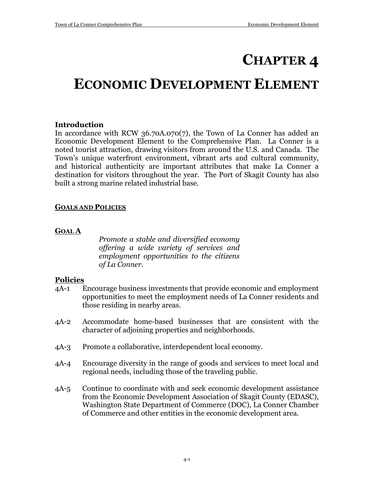# **CHAPTER 4**

# **ECONOMIC DEVELOPMENT ELEMENT**

# **Introduction**

In accordance with RCW 36.70A.070(7), the Town of La Conner has added an Economic Development Element to the Comprehensive Plan. La Conner is a noted tourist attraction, drawing visitors from around the U.S. and Canada. The Town's unique waterfront environment, vibrant arts and cultural community, and historical authenticity are important attributes that make La Conner a destination for visitors throughout the year. The Port of Skagit County has also built a strong marine related industrial base.

## **GOALS AND POLICIES**

## **GOAL A**

*Promote a stable and diversified economy offering a wide variety of services and employment opportunities to the citizens of La Conner.*

# **Policies**

- 4A-1 Encourage business investments that provide economic and employment opportunities to meet the employment needs of La Conner residents and those residing in nearby areas.
- 4A-2 Accommodate home-based businesses that are consistent with the character of adjoining properties and neighborhoods.
- 4A-3 Promote a collaborative, interdependent local economy.
- 4A-4 Encourage diversity in the range of goods and services to meet local and regional needs, including those of the traveling public.
- 4A-5 Continue to coordinate with and seek economic development assistance from the Economic Development Association of Skagit County (EDASC), Washington State Department of Commerce (DOC), La Conner Chamber of Commerce and other entities in the economic development area.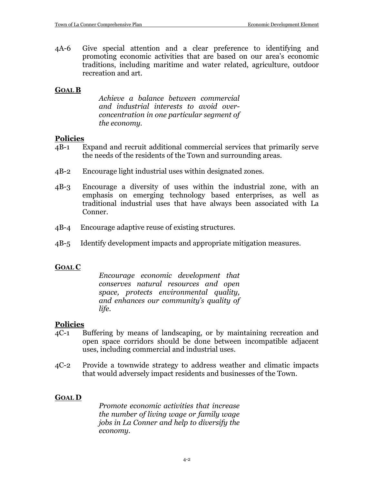4A-6 Give special attention and a clear preference to identifying and promoting economic activities that are based on our area's economic traditions, including maritime and water related, agriculture, outdoor recreation and art.

## **GOAL B**

*Achieve a balance between commercial and industrial interests to avoid overconcentration in one particular segment of the economy.*

## **Policies**

- 4B-1 Expand and recruit additional commercial services that primarily serve the needs of the residents of the Town and surrounding areas.
- 4B-2 Encourage light industrial uses within designated zones.
- 4B-3 Encourage a diversity of uses within the industrial zone, with an emphasis on emerging technology based enterprises, as well as traditional industrial uses that have always been associated with La Conner.
- 4B-4 Encourage adaptive reuse of existing structures.
- 4B-5 Identify development impacts and appropriate mitigation measures.

# **GOAL C**

*Encourage economic development that conserves natural resources and open space, protects environmental quality, and enhances our community's quality of life.*

## **Policies**

- 4C-1 Buffering by means of landscaping, or by maintaining recreation and open space corridors should be done between incompatible adjacent uses, including commercial and industrial uses.
- 4C-2 Provide a townwide strategy to address weather and climatic impacts that would adversely impact residents and businesses of the Town.

# **GOAL D**

*Promote economic activities that increase the number of living wage or family wage jobs in La Conner and help to diversify the economy.*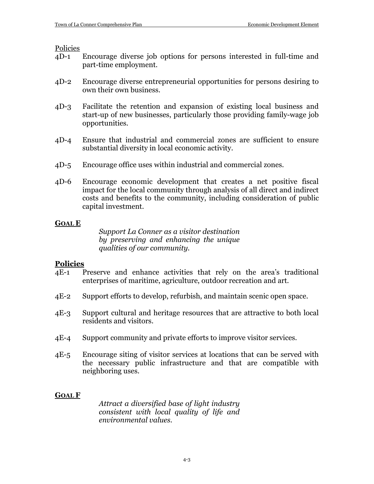Policies

- 4D-1 Encourage diverse job options for persons interested in full-time and part-time employment.
- 4D-2 Encourage diverse entrepreneurial opportunities for persons desiring to own their own business.
- 4D-3 Facilitate the retention and expansion of existing local business and start-up of new businesses, particularly those providing family-wage job opportunities.
- 4D-4 Ensure that industrial and commercial zones are sufficient to ensure substantial diversity in local economic activity.
- 4D-5 Encourage office uses within industrial and commercial zones.
- 4D-6 Encourage economic development that creates a net positive fiscal impact for the local community through analysis of all direct and indirect costs and benefits to the community, including consideration of public capital investment.

## **GOAL E**

*Support La Conner as a visitor destination by preserving and enhancing the unique qualities of our community.*

## **Policies**

- 4E-1 Preserve and enhance activities that rely on the area's traditional enterprises of maritime, agriculture, outdoor recreation and art.
- 4E-2 Support efforts to develop, refurbish, and maintain scenic open space.
- 4E-3 Support cultural and heritage resources that are attractive to both local residents and visitors.
- 4E-4 Support community and private efforts to improve visitor services.
- 4E-5 Encourage siting of visitor services at locations that can be served with the necessary public infrastructure and that are compatible with neighboring uses.

## **GOAL F**

*Attract a diversified base of light industry consistent with local quality of life and environmental values.*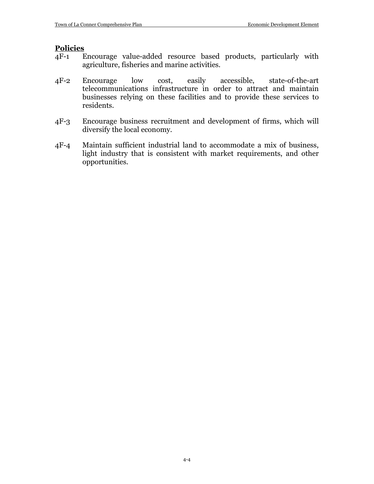#### **Policies**

- 4F-1 Encourage value-added resource based products, particularly with agriculture, fisheries and marine activities.
- 4F-2 Encourage low cost, easily accessible, state-of-the-art telecommunications infrastructure in order to attract and maintain businesses relying on these facilities and to provide these services to residents.
- 4F-3 Encourage business recruitment and development of firms, which will diversify the local economy.
- 4F-4 Maintain sufficient industrial land to accommodate a mix of business, light industry that is consistent with market requirements, and other opportunities.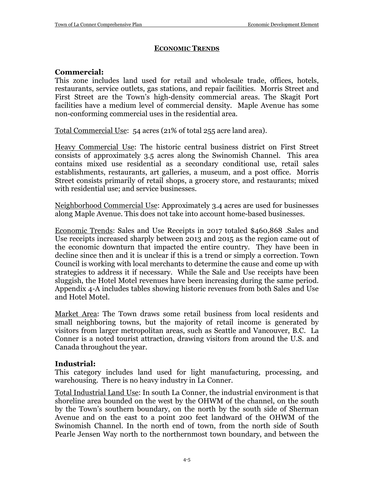# **ECONOMIC TRENDS**

# **Commercial:**

This zone includes land used for retail and wholesale trade, offices, hotels, restaurants, service outlets, gas stations, and repair facilities. Morris Street and First Street are the Town's high-density commercial areas. The Skagit Port facilities have a medium level of commercial density. Maple Avenue has some non-conforming commercial uses in the residential area.

Total Commercial Use: 54 acres (21% of total 255 acre land area).

Heavy Commercial Use: The historic central business district on First Street consists of approximately 3.5 acres along the Swinomish Channel. This area contains mixed use residential as a secondary conditional use, retail sales establishments, restaurants, art galleries, a museum, and a post office. Morris Street consists primarily of retail shops, a grocery store, and restaurants; mixed with residential use; and service businesses.

Neighborhood Commercial Use: Approximately 3.4 acres are used for businesses along Maple Avenue. This does not take into account home-based businesses.

Economic Trends: Sales and Use Receipts in 2017 totaled \$460,868 .Sales and Use receipts increased sharply between 2013 and 2015 as the region came out of the economic downturn that impacted the entire country. They have been in decline since then and it is unclear if this is a trend or simply a correction. Town Council is working with local merchants to determine the cause and come up with strategies to address it if necessary. While the Sale and Use receipts have been sluggish, the Hotel Motel revenues have been increasing during the same period. Appendix 4-A includes tables showing historic revenues from both Sales and Use and Hotel Motel.

Market Area: The Town draws some retail business from local residents and small neighboring towns, but the majority of retail income is generated by visitors from larger metropolitan areas, such as Seattle and Vancouver, B.C. La Conner is a noted tourist attraction, drawing visitors from around the U.S. and Canada throughout the year.

# **Industrial:**

This category includes land used for light manufacturing, processing, and warehousing. There is no heavy industry in La Conner.

Total Industrial Land Use: In south La Conner, the industrial environment is that shoreline area bounded on the west by the OHWM of the channel, on the south by the Town's southern boundary, on the north by the south side of Sherman Avenue and on the east to a point 200 feet landward of the OHWM of the Swinomish Channel. In the north end of town, from the north side of South Pearle Jensen Way north to the northernmost town boundary, and between the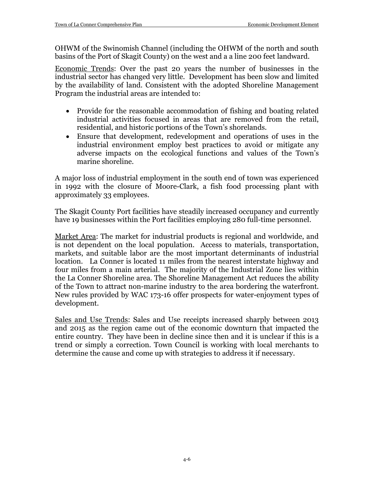OHWM of the Swinomish Channel (including the OHWM of the north and south basins of the Port of Skagit County) on the west and a a line 200 feet landward.

Economic Trends: Over the past 20 years the number of businesses in the industrial sector has changed very little. Development has been slow and limited by the availability of land. Consistent with the adopted Shoreline Management Program the industrial areas are intended to:

- Provide for the reasonable accommodation of fishing and boating related industrial activities focused in areas that are removed from the retail, residential, and historic portions of the Town's shorelands.
- Ensure that development, redevelopment and operations of uses in the industrial environment employ best practices to avoid or mitigate any adverse impacts on the ecological functions and values of the Town's marine shoreline.

A major loss of industrial employment in the south end of town was experienced in 1992 with the closure of Moore-Clark, a fish food processing plant with approximately 33 employees.

The Skagit County Port facilities have steadily increased occupancy and currently have 19 businesses within the Port facilities employing 280 full-time personnel.

Market Area: The market for industrial products is regional and worldwide, and is not dependent on the local population. Access to materials, transportation, markets, and suitable labor are the most important determinants of industrial location. La Conner is located 11 miles from the nearest interstate highway and four miles from a main arterial. The majority of the Industrial Zone lies within the La Conner Shoreline area. The Shoreline Management Act reduces the ability of the Town to attract non-marine industry to the area bordering the waterfront. New rules provided by WAC 173-16 offer prospects for water-enjoyment types of development.

Sales and Use Trends: Sales and Use receipts increased sharply between 2013 and 2015 as the region came out of the economic downturn that impacted the entire country. They have been in decline since then and it is unclear if this is a trend or simply a correction. Town Council is working with local merchants to determine the cause and come up with strategies to address it if necessary.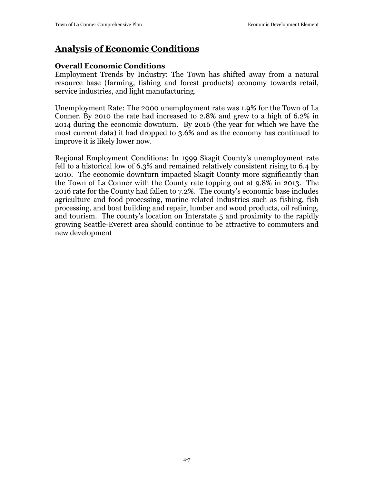# **Analysis of Economic Conditions**

# **Overall Economic Conditions**

Employment Trends by Industry: The Town has shifted away from a natural resource base (farming, fishing and forest products) economy towards retail, service industries, and light manufacturing.

Unemployment Rate: The 2000 unemployment rate was 1.9% for the Town of La Conner. By 2010 the rate had increased to 2.8% and grew to a high of 6.2% in 2014 during the economic downturn. By 2016 (the year for which we have the most current data) it had dropped to 3.6% and as the economy has continued to improve it is likely lower now.

Regional Employment Conditions: In 1999 Skagit County's unemployment rate fell to a historical low of 6.3% and remained relatively consistent rising to 6.4 by 2010. The economic downturn impacted Skagit County more significantly than the Town of La Conner with the County rate topping out at 9.8% in 2013. The 2016 rate for the County had fallen to 7.2%. The county's economic base includes agriculture and food processing, marine-related industries such as fishing, fish processing, and boat building and repair, lumber and wood products, oil refining, and tourism. The county's location on Interstate 5 and proximity to the rapidly growing Seattle-Everett area should continue to be attractive to commuters and new development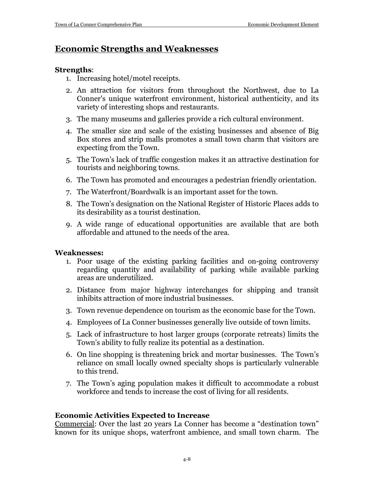# **Economic Strengths and Weaknesses**

# **Strengths**:

- 1. Increasing hotel/motel receipts.
- 2. An attraction for visitors from throughout the Northwest, due to La Conner's unique waterfront environment, historical authenticity, and its variety of interesting shops and restaurants.
- 3. The many museums and galleries provide a rich cultural environment.
- 4. The smaller size and scale of the existing businesses and absence of Big Box stores and strip malls promotes a small town charm that visitors are expecting from the Town.
- 5. The Town's lack of traffic congestion makes it an attractive destination for tourists and neighboring towns.
- 6. The Town has promoted and encourages a pedestrian friendly orientation.
- 7. The Waterfront/Boardwalk is an important asset for the town.
- 8. The Town's designation on the National Register of Historic Places adds to its desirability as a tourist destination.
- 9. A wide range of educational opportunities are available that are both affordable and attuned to the needs of the area.

# **Weaknesses:**

- 1. Poor usage of the existing parking facilities and on-going controversy regarding quantity and availability of parking while available parking areas are underutilized.
- 2. Distance from major highway interchanges for shipping and transit inhibits attraction of more industrial businesses.
- 3. Town revenue dependence on tourism as the economic base for the Town.
- 4. Employees of La Conner businesses generally live outside of town limits.
- 5. Lack of infrastructure to host larger groups (corporate retreats) limits the Town's ability to fully realize its potential as a destination.
- 6. On line shopping is threatening brick and mortar businesses. The Town's reliance on small locally owned specialty shops is particularly vulnerable to this trend.
- 7. The Town's aging population makes it difficult to accommodate a robust workforce and tends to increase the cost of living for all residents.

# **Economic Activities Expected to Increase**

Commercial: Over the last 20 years La Conner has become a "destination town" known for its unique shops, waterfront ambience, and small town charm. The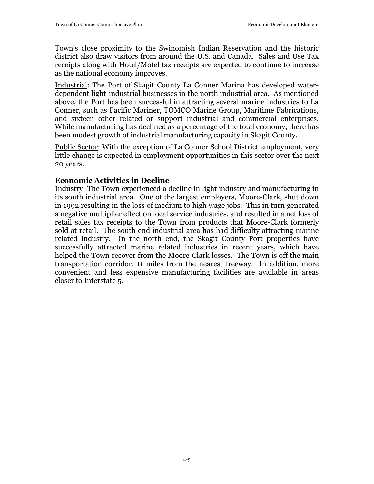Town's close proximity to the Swinomish Indian Reservation and the historic district also draw visitors from around the U.S. and Canada. Sales and Use Tax receipts along with Hotel/Motel tax receipts are expected to continue to increase as the national economy improves.

Industrial: The Port of Skagit County La Conner Marina has developed waterdependent light-industrial businesses in the north industrial area. As mentioned above, the Port has been successful in attracting several marine industries to La Conner, such as Pacific Mariner, TOMCO Marine Group, Maritime Fabrications, and sixteen other related or support industrial and commercial enterprises. While manufacturing has declined as a percentage of the total economy, there has been modest growth of industrial manufacturing capacity in Skagit County.

Public Sector: With the exception of La Conner School District employment, very little change is expected in employment opportunities in this sector over the next 20 years.

## **Economic Activities in Decline**

Industry: The Town experienced a decline in light industry and manufacturing in its south industrial area. One of the largest employers, Moore-Clark, shut down in 1992 resulting in the loss of medium to high wage jobs. This in turn generated a negative multiplier effect on local service industries, and resulted in a net loss of retail sales tax receipts to the Town from products that Moore-Clark formerly sold at retail. The south end industrial area has had difficulty attracting marine related industry. In the north end, the Skagit County Port properties have successfully attracted marine related industries in recent years, which have helped the Town recover from the Moore-Clark losses. The Town is off the main transportation corridor, 11 miles from the nearest freeway. In addition, more convenient and less expensive manufacturing facilities are available in areas closer to Interstate 5.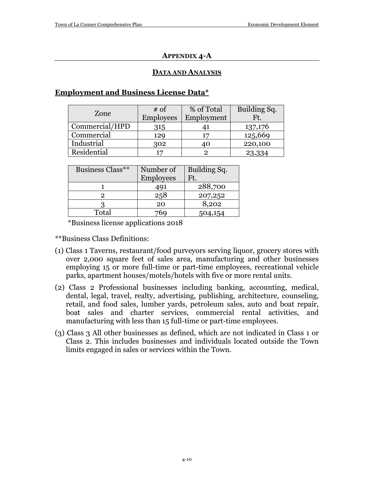## **APPENDIX 4-A**

## **DATA AND ANALYSIS**

# **Employment and Business License Data\***

| Zone           | $# \text{ of }$<br><b>Employees</b> | % of Total<br>Employment | Building Sq.<br>Ft. |
|----------------|-------------------------------------|--------------------------|---------------------|
| Commercial/HPD | 315                                 |                          | 137,176             |
| Commercial     | 129                                 |                          | 125,669             |
| Industrial     | 302                                 |                          | 220,100             |
| Residential    |                                     |                          | 23,334              |

| Business Class** | Number of        | Building Sq. |
|------------------|------------------|--------------|
|                  | <b>Employees</b> | Ft.          |
|                  | 491              | 288,700      |
|                  | 258              | 207,252      |
|                  | 20               | 8,202        |
| Total            |                  | 504,154      |

\*Business license applications 2018

\*\*Business Class Definitions:

- (1) Class 1 Taverns, restaurant/food purveyors serving liquor, grocery stores with over 2,000 square feet of sales area, manufacturing and other businesses employing 15 or more full-time or part-time employees, recreational vehicle parks, apartment houses/motels/hotels with five or more rental units.
- (2) Class 2 Professional businesses including banking, accounting, medical, dental, legal, travel, realty, advertising, publishing, architecture, counseling, retail, and food sales, lumber yards, petroleum sales, auto and boat repair, boat sales and charter services, commercial rental activities, and manufacturing with less than 15 full-time or part-time employees.
- (3) Class 3 All other businesses as defined, which are not indicated in Class 1 or Class 2. This includes businesses and individuals located outside the Town limits engaged in sales or services within the Town.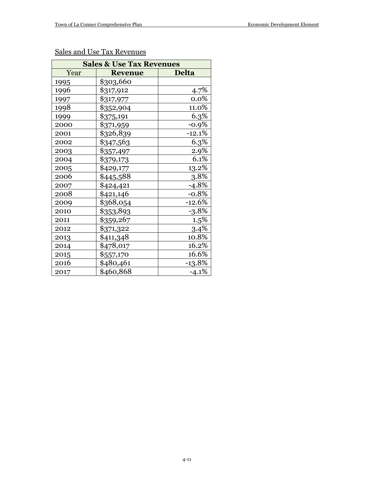| <b>Sales &amp; Use Tax Revenues</b> |                   |              |  |  |
|-------------------------------------|-------------------|--------------|--|--|
| Year                                | <b>Revenue</b>    | <b>Delta</b> |  |  |
| 1995                                | \$303,660         |              |  |  |
| 1996                                | \$317,912         | $4.7\%$      |  |  |
| 1997                                | \$317,977         | $0.0\%$      |  |  |
| 1998                                | <u>\$352,904</u>  | 11.0%        |  |  |
| 1999                                | \$375,191         | 6.3%         |  |  |
| 2000                                | <u>\$371,959</u>  | $-0.9%$      |  |  |
| 2001                                | \$326,839         | $-12.1%$     |  |  |
| 2002                                | \$347,563         | 6.3%         |  |  |
| 2003                                | \$ <u>357,497</u> | 2.9%         |  |  |
| 2004                                | <u>\$379,173</u>  | 6.1%         |  |  |
| 2005                                | \$429,177         | 13.2%        |  |  |
| 2006                                | \$445,588         | 3.8%         |  |  |
| 2007                                | \$424,421         | $-4.8%$      |  |  |
| 2008                                | \$421,146         | $-0.8%$      |  |  |
| 2009                                | \$368,054         | $-12.6%$     |  |  |
| 2010                                | \$353,893         | $-3.8%$      |  |  |
| 2011                                | \$359,267         | 1.5%         |  |  |
| 2012                                | \$371,322         | 3.4%         |  |  |
| 2013                                | \$411,348         | 10.8%        |  |  |
| 2014                                | \$478,017         | 16.2%        |  |  |
| 2015                                | \$ <u>557,170</u> | 16.6%        |  |  |
| 2016                                | \$480,461         | -13.8%       |  |  |
| 2017                                | \$460,868         | $-4.1%$      |  |  |

# Sales and Use Tax Revenues